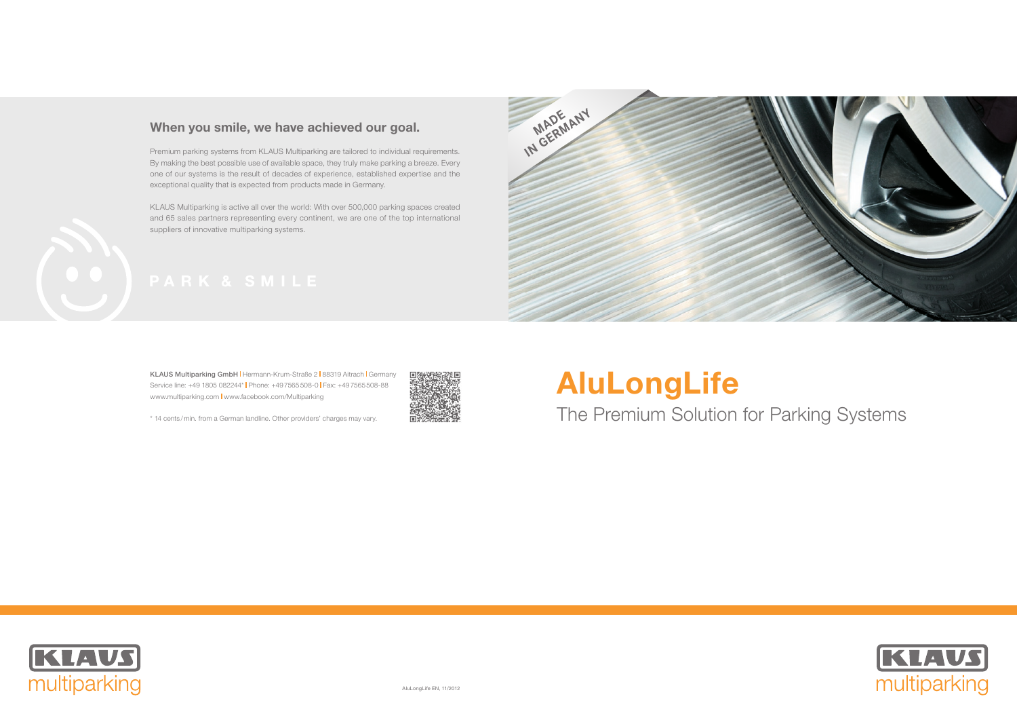

## When you smile, we have achieved our goal.

Premium parking systems from KLAUS Multiparking are tailored to individual requirements. By making the best possible use of available space, they truly make parking a breeze. Every one of our systems is the result of decades of experience, established expertise and the exceptional quality that is expected from products made in Germany.

KLAUS Multiparking is active all over the world: With over 500,000 parking spaces created and 65 sales partners representing every continent, we are one of the top international suppliers of innovative multiparking systems.



KLAUS Multiparking GmbH | Hermann-Krum-Straße 2 | 88319 Aitrach | Germany Service line: +49 1805 082244\* | Phone: +49 7565 508-0 | Fax: +49 7565 508-88 www.multiparking.com | www.facebook.com/Multiparking



\* 14 cents / min. from a German landline. Other providers' charges may vary.

# AluLongLife The Premium Solution for Parking Systems